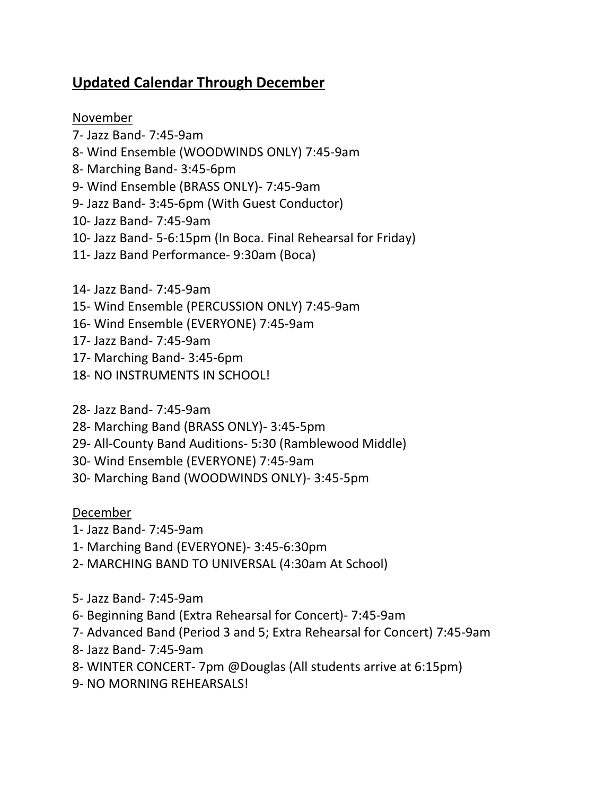## **Updated Calendar Through December**

## November

- ‐ Jazz Band‐ 7:45‐9am ‐ Wind Ensemble (WOODWINDS ONLY) 7:45‐9am ‐ Marching Band‐ 3:45‐6pm ‐ Wind Ensemble (BRASS ONLY)‐ 7:45‐9am ‐ Jazz Band‐ 3:45‐6pm (With Guest Conductor) ‐ Jazz Band‐ 7:45‐9am ‐ Jazz Band‐ 5‐6:15pm (In Boca. Final Rehearsal for Friday) ‐ Jazz Band Performance‐ 9:30am (Boca)
- ‐ Jazz Band‐ 7:45‐9am
- ‐ Wind Ensemble (PERCUSSION ONLY) 7:45‐9am
- ‐ Wind Ensemble (EVERYONE) 7:45‐9am
- ‐ Jazz Band‐ 7:45‐9am
- ‐ Marching Band‐ 3:45‐6pm
- ‐ NO INSTRUMENTS IN SCHOOL!
- ‐ Jazz Band‐ 7:45‐9am
- ‐ Marching Band (BRASS ONLY)‐ 3:45‐5pm
- ‐ All‐County Band Auditions‐ 5:30 (Ramblewood Middle)
- ‐ Wind Ensemble (EVERYONE) 7:45‐9am
- ‐ Marching Band (WOODWINDS ONLY)‐ 3:45‐5pm

## December

- ‐ Jazz Band‐ 7:45‐9am
- ‐ Marching Band (EVERYONE)‐ 3:45‐6:30pm
- ‐ MARCHING BAND TO UNIVERSAL (4:30am At School)
- ‐ Jazz Band‐ 7:45‐9am
- ‐ Beginning Band (Extra Rehearsal for Concert)‐ 7:45‐9am
- ‐ Advanced Band (Period 3 and 5; Extra Rehearsal for Concert) 7:45‐9am
- ‐ Jazz Band‐ 7:45‐9am
- ‐ WINTER CONCERT‐ 7pm @Douglas (All students arrive at 6:15pm)
- ‐ NO MORNING REHEARSALS!